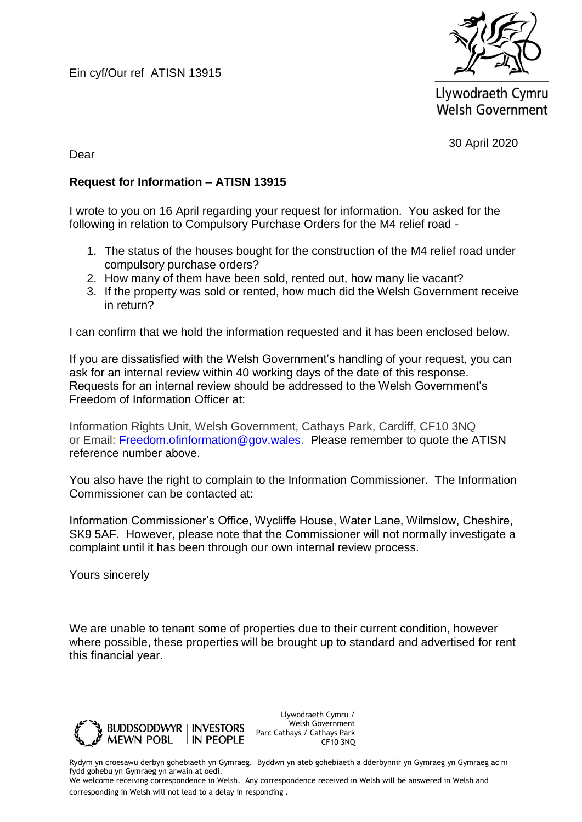Ein cyf/Our ref ATISN 13915



Llywodraeth Cymru **Welsh Government** 

30 April 2020

Dear

## **Request for Information – ATISN 13915**

I wrote to you on 16 April regarding your request for information. You asked for the following in relation to Compulsory Purchase Orders for the M4 relief road -

- 1. The status of the houses bought for the construction of the M4 relief road under compulsory purchase orders?
- 2. How many of them have been sold, rented out, how many lie vacant?
- 3. If the property was sold or rented, how much did the Welsh Government receive in return?

I can confirm that we hold the information requested and it has been enclosed below.

If you are dissatisfied with the Welsh Government's handling of your request, you can ask for an internal review within 40 working days of the date of this response. Requests for an internal review should be addressed to the Welsh Government's Freedom of Information Officer at:

Information Rights Unit, Welsh Government, Cathays Park, Cardiff, CF10 3NQ or Email: [Freedom.ofinformation@gov.wales.](mailto:Freedom.ofinformation@gov.wales) Please remember to quote the ATISN reference number above.

You also have the right to complain to the Information Commissioner. The Information Commissioner can be contacted at:

Information Commissioner's Office, Wycliffe House, Water Lane, Wilmslow, Cheshire, SK9 5AF. However, please note that the Commissioner will not normally investigate a complaint until it has been through our own internal review process.

Yours sincerely

We are unable to tenant some of properties due to their current condition, however where possible, these properties will be brought up to standard and advertised for rent this financial year.



Llywodraeth Cymru / Welsh Government Parc Cathays / Cathays Park CF10 3NQ

Rydym yn croesawu derbyn gohebiaeth yn Gymraeg. Byddwn yn ateb gohebiaeth a dderbynnir yn Gymraeg yn Gymraeg ac ni fydd gohebu yn Gymraeg yn arwain at oedi.

We welcome receiving correspondence in Welsh. Any correspondence received in Welsh will be answered in Welsh and corresponding in Welsh will not lead to a delay in responding.